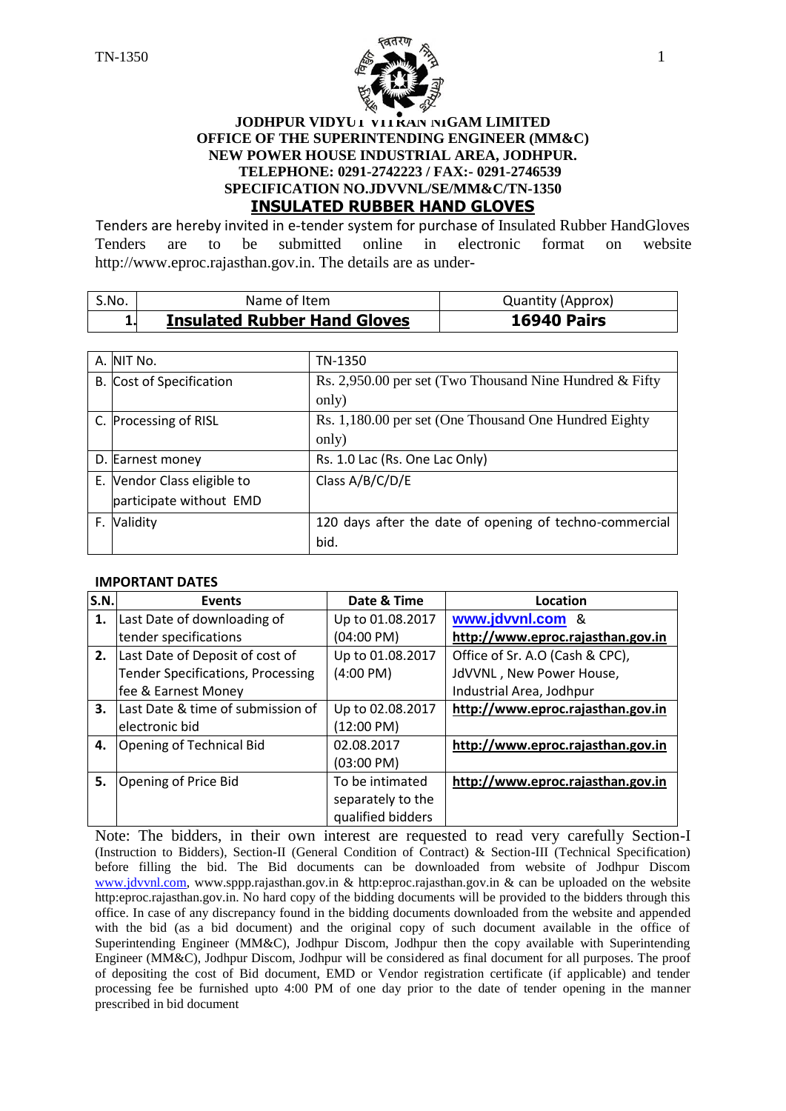

#### **JODHPUR VIDYUT VITRAN NIGAM LIMITED OFFICE OF THE SUPERINTENDING ENGINEER (MM&C) NEW POWER HOUSE INDUSTRIAL AREA, JODHPUR. TELEPHONE: 0291-2742223 / FAX:- 0291-2746539 SPECIFICATION NO.JDVVNL/SE/MM&C/TN-1350 INSULATED RUBBER HAND GLOVES**

Tenders are hereby invited in e-tender system for purchase of Insulated Rubber HandGloves Tenders are to be submitted online in electronic format on website http://www.eproc.rajasthan.gov.in. The details are as under-

| S.No. | Name of Item                        | <b>Quantity (Approx)</b> |
|-------|-------------------------------------|--------------------------|
|       | <b>Insulated Rubber Hand Gloves</b> | <b>16940 Pairs</b>       |

| A. NIT No.                  | TN-1350                                                 |
|-----------------------------|---------------------------------------------------------|
| B. Cost of Specification    | Rs. 2,950.00 per set (Two Thousand Nine Hundred & Fifty |
|                             | only)                                                   |
| C. Processing of RISL       | Rs. 1,180.00 per set (One Thousand One Hundred Eighty)  |
|                             | only)                                                   |
| D. Earnest money            | Rs. 1.0 Lac (Rs. One Lac Only)                          |
| E. Vendor Class eligible to | Class A/B/C/D/E                                         |
| participate without EMD     |                                                         |
| F. Validity                 | 120 days after the date of opening of techno-commercial |
|                             | bid.                                                    |

#### **IMPORTANT DATES**

| S.N. | <b>Events</b>                            | Date & Time          | Location                          |
|------|------------------------------------------|----------------------|-----------------------------------|
| 1.   | Last Date of downloading of              | Up to 01.08.2017     | www.jdvvnl.com &                  |
|      | tender specifications                    | (04:00 PM)           | http://www.eproc.rajasthan.gov.in |
| 2.   | Last Date of Deposit of cost of          | Up to 01.08.2017     | Office of Sr. A.O (Cash & CPC),   |
|      | <b>Tender Specifications, Processing</b> | $(4:00 \text{ PM})$  | JdVVNL, New Power House,          |
|      | fee & Earnest Money                      |                      | Industrial Area, Jodhpur          |
| 3.   | Last Date & time of submission of        | Up to 02.08.2017     | http://www.eproc.rajasthan.gov.in |
|      | electronic bid                           | (12:00 PM)           |                                   |
| 4.   | <b>Opening of Technical Bid</b>          | 02.08.2017           | http://www.eproc.rajasthan.gov.in |
|      |                                          | $(03:00 \text{ PM})$ |                                   |
| 5.   | Opening of Price Bid                     | To be intimated      | http://www.eproc.rajasthan.gov.in |
|      |                                          | separately to the    |                                   |
|      |                                          | qualified bidders    |                                   |

Note: The bidders, in their own interest are requested to read very carefully Section-I (Instruction to Bidders), Section-II (General Condition of Contract) & Section-III (Technical Specification) before filling the bid. The Bid documents can be downloaded from website of Jodhpur Discom [www.jdvvnl.com,](http://www.jdvvnl.com/) www.sppp.rajasthan.gov.in & http:eproc.rajasthan.gov.in & can be uploaded on the website http:eproc.rajasthan.gov.in. No hard copy of the bidding documents will be provided to the bidders through this office. In case of any discrepancy found in the bidding documents downloaded from the website and appended with the bid (as a bid document) and the original copy of such document available in the office of Superintending Engineer (MM&C), Jodhpur Discom, Jodhpur then the copy available with Superintending Engineer (MM&C), Jodhpur Discom, Jodhpur will be considered as final document for all purposes. The proof of depositing the cost of Bid document, EMD or Vendor registration certificate (if applicable) and tender processing fee be furnished upto 4:00 PM of one day prior to the date of tender opening in the manner prescribed in bid document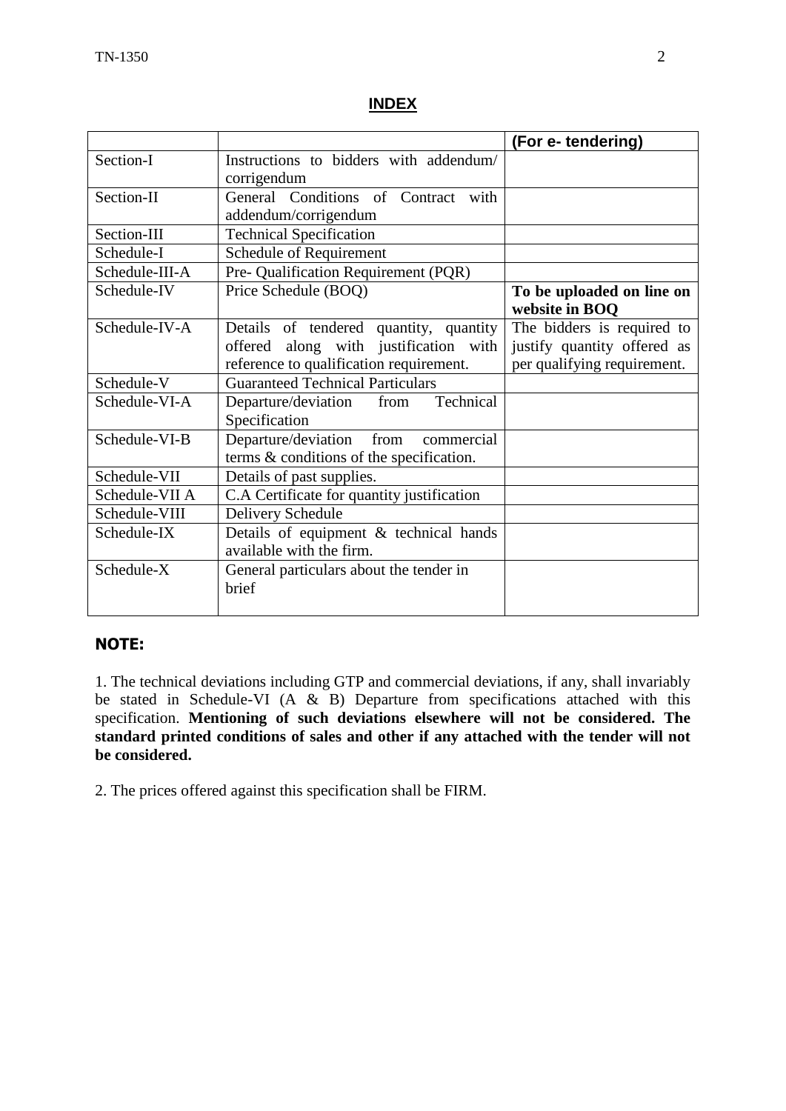#### **INDEX**

|                |                                                                                                                            | (For e-tendering)                                                                        |
|----------------|----------------------------------------------------------------------------------------------------------------------------|------------------------------------------------------------------------------------------|
| Section-I      | Instructions to bidders with addendum/<br>corrigendum                                                                      |                                                                                          |
| Section-II     | General Conditions of Contract with<br>addendum/corrigendum                                                                |                                                                                          |
| Section-III    | <b>Technical Specification</b>                                                                                             |                                                                                          |
| Schedule-I     | Schedule of Requirement                                                                                                    |                                                                                          |
| Schedule-III-A | Pre- Qualification Requirement (PQR)                                                                                       |                                                                                          |
| Schedule-IV    | Price Schedule (BOQ)                                                                                                       | To be uploaded on line on<br>website in BOQ                                              |
| Schedule-IV-A  | Details of tendered quantity, quantity<br>offered along with justification with<br>reference to qualification requirement. | The bidders is required to<br>justify quantity offered as<br>per qualifying requirement. |
| Schedule-V     | <b>Guaranteed Technical Particulars</b>                                                                                    |                                                                                          |
| Schedule-VI-A  | Technical<br>Departure/deviation<br>from<br>Specification                                                                  |                                                                                          |
| Schedule-VI-B  | Departure/deviation from<br>commercial<br>terms & conditions of the specification.                                         |                                                                                          |
| Schedule-VII   | Details of past supplies.                                                                                                  |                                                                                          |
| Schedule-VII A | C.A Certificate for quantity justification                                                                                 |                                                                                          |
| Schedule-VIII  | Delivery Schedule                                                                                                          |                                                                                          |
| Schedule-IX    | Details of equipment & technical hands<br>available with the firm.                                                         |                                                                                          |
| Schedule-X     | General particulars about the tender in<br>brief                                                                           |                                                                                          |

## **NOTE:**

1. The technical deviations including GTP and commercial deviations, if any, shall invariably be stated in Schedule-VI (A  $\&$  B) Departure from specifications attached with this specification. **Mentioning of such deviations elsewhere will not be considered. The standard printed conditions of sales and other if any attached with the tender will not be considered.**

2. The prices offered against this specification shall be FIRM.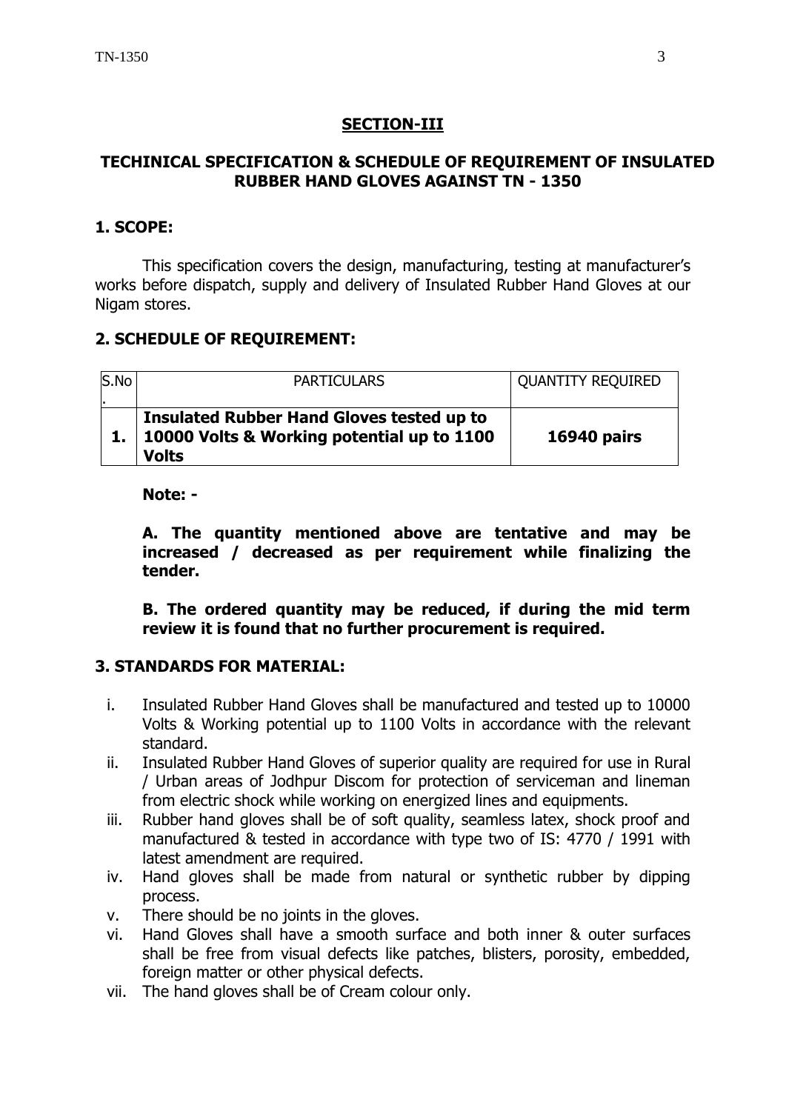# **SECTION-III**

# **TECHINICAL SPECIFICATION & SCHEDULE OF REQUIREMENT OF INSULATED RUBBER HAND GLOVES AGAINST TN - 1350**

# **1. SCOPE:**

This specification covers the design, manufacturing, testing at manufacturer's works before dispatch, supply and delivery of Insulated Rubber Hand Gloves at our Nigam stores.

# **2. SCHEDULE OF REQUIREMENT:**

| S.No<br>٠. | <b>PARTICULARS</b>                                                                                           | <b>QUANTITY REQUIRED</b> |
|------------|--------------------------------------------------------------------------------------------------------------|--------------------------|
|            | Insulated Rubber Hand Gloves tested up to<br>1.   10000 Volts & Working potential up to 1100<br><b>Volts</b> | <b>16940 pairs</b>       |

**Note: -**

**A. The quantity mentioned above are tentative and may be increased / decreased as per requirement while finalizing the tender.**

**B. The ordered quantity may be reduced, if during the mid term review it is found that no further procurement is required.**

## **3. STANDARDS FOR MATERIAL:**

- i. Insulated Rubber Hand Gloves shall be manufactured and tested up to 10000 Volts & Working potential up to 1100 Volts in accordance with the relevant standard.
- ii. Insulated Rubber Hand Gloves of superior quality are required for use in Rural / Urban areas of Jodhpur Discom for protection of serviceman and lineman from electric shock while working on energized lines and equipments.
- iii. Rubber hand gloves shall be of soft quality, seamless latex, shock proof and manufactured & tested in accordance with type two of IS: 4770 / 1991 with latest amendment are required.
- iv. Hand gloves shall be made from natural or synthetic rubber by dipping process.
- v. There should be no joints in the gloves.
- vi. Hand Gloves shall have a smooth surface and both inner & outer surfaces shall be free from visual defects like patches, blisters, porosity, embedded, foreign matter or other physical defects.
- vii. The hand gloves shall be of Cream colour only.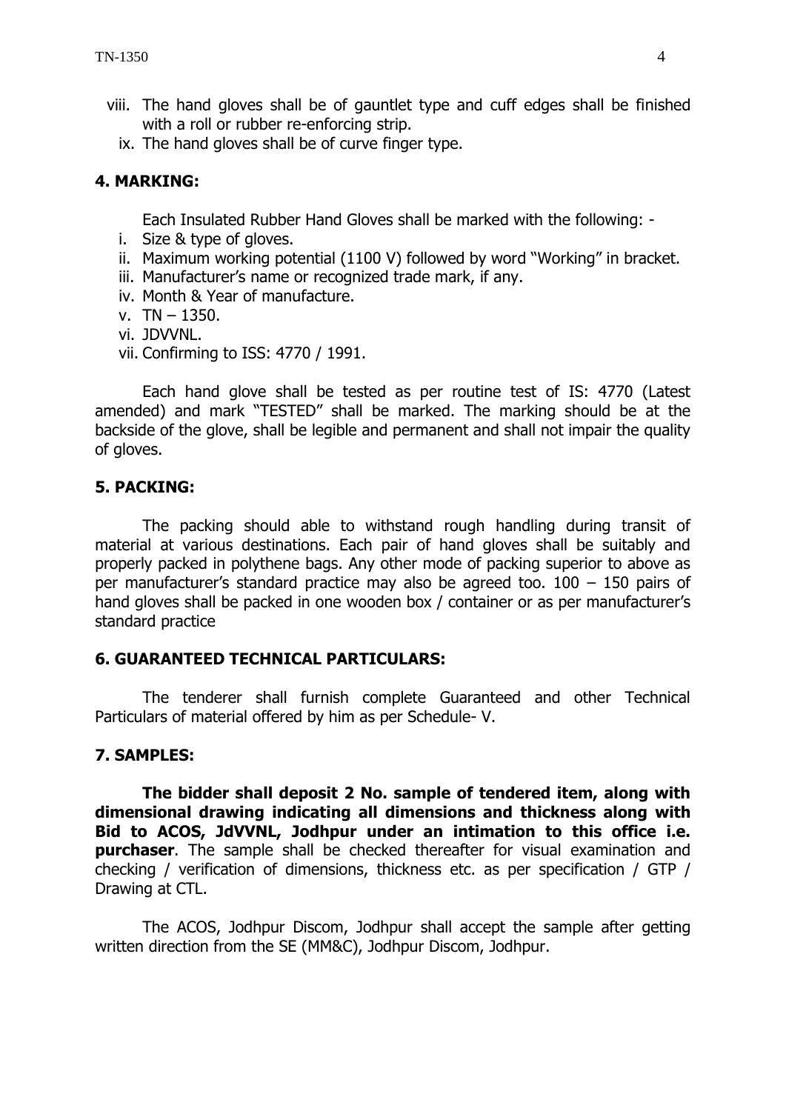- viii. The hand gloves shall be of gauntlet type and cuff edges shall be finished with a roll or rubber re-enforcing strip.
	- ix. The hand gloves shall be of curve finger type.

## **4. MARKING:**

Each Insulated Rubber Hand Gloves shall be marked with the following: -

- i. Size & type of gloves.
- ii. Maximum working potential (1100 V) followed by word "Working" in bracket.
- iii. Manufacturer's name or recognized trade mark, if any.
- iv. Month & Year of manufacture.
- v. TN 1350.
- vi. JDVVNL.
- vii. Confirming to ISS: 4770 / 1991.

Each hand glove shall be tested as per routine test of IS: 4770 (Latest amended) and mark "TESTED" shall be marked. The marking should be at the backside of the glove, shall be legible and permanent and shall not impair the quality of gloves.

## **5. PACKING:**

The packing should able to withstand rough handling during transit of material at various destinations. Each pair of hand gloves shall be suitably and properly packed in polythene bags. Any other mode of packing superior to above as per manufacturer's standard practice may also be agreed too. 100 – 150 pairs of hand gloves shall be packed in one wooden box / container or as per manufacturer's standard practice

#### **6. GUARANTEED TECHNICAL PARTICULARS:**

The tenderer shall furnish complete Guaranteed and other Technical Particulars of material offered by him as per Schedule- V.

#### **7. SAMPLES:**

**The bidder shall deposit 2 No. sample of tendered item, along with dimensional drawing indicating all dimensions and thickness along with Bid to ACOS, JdVVNL, Jodhpur under an intimation to this office i.e. purchaser.** The sample shall be checked thereafter for visual examination and checking / verification of dimensions, thickness etc. as per specification / GTP / Drawing at CTL.

The ACOS, Jodhpur Discom, Jodhpur shall accept the sample after getting written direction from the SE (MM&C), Jodhpur Discom, Jodhpur.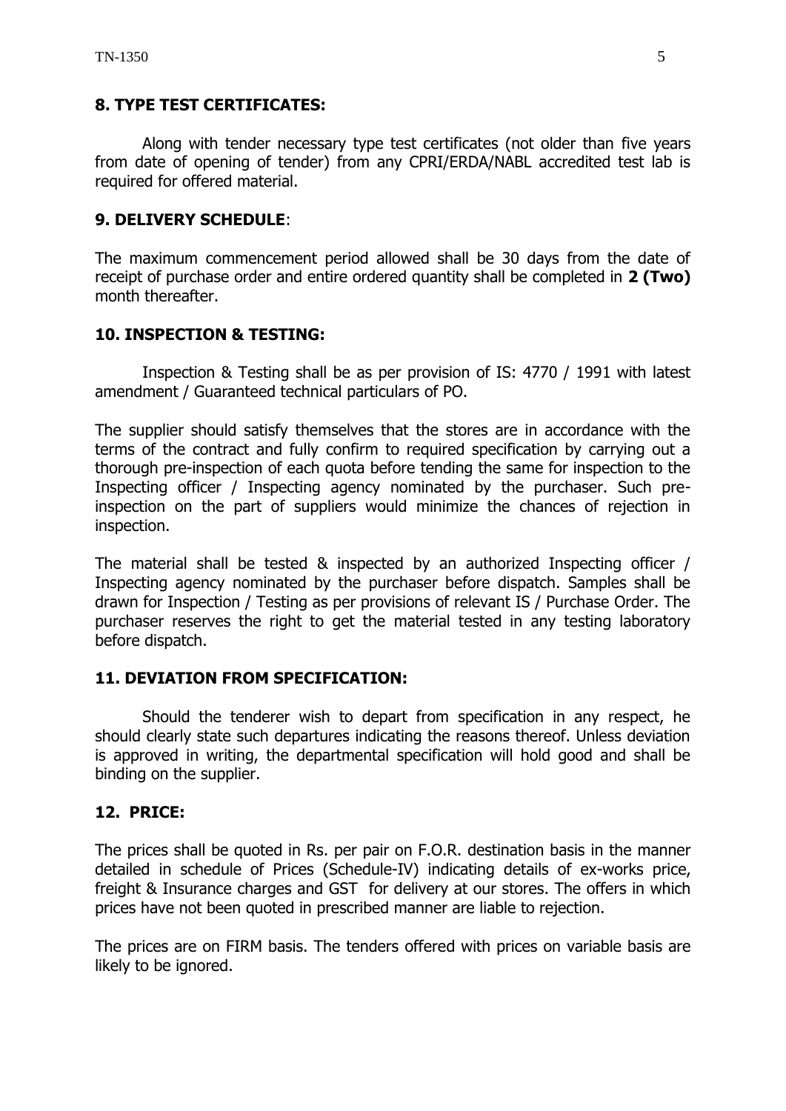## **8. TYPE TEST CERTIFICATES:**

Along with tender necessary type test certificates (not older than five years from date of opening of tender) from any CPRI/ERDA/NABL accredited test lab is required for offered material.

## **9. DELIVERY SCHEDULE**:

The maximum commencement period allowed shall be 30 days from the date of receipt of purchase order and entire ordered quantity shall be completed in **2 (Two)** month thereafter.

#### **10. INSPECTION & TESTING:**

Inspection & Testing shall be as per provision of IS: 4770 / 1991 with latest amendment / Guaranteed technical particulars of PO.

The supplier should satisfy themselves that the stores are in accordance with the terms of the contract and fully confirm to required specification by carrying out a thorough pre-inspection of each quota before tending the same for inspection to the Inspecting officer / Inspecting agency nominated by the purchaser. Such preinspection on the part of suppliers would minimize the chances of rejection in inspection.

The material shall be tested & inspected by an authorized Inspecting officer / Inspecting agency nominated by the purchaser before dispatch. Samples shall be drawn for Inspection / Testing as per provisions of relevant IS / Purchase Order. The purchaser reserves the right to get the material tested in any testing laboratory before dispatch.

#### **11. DEVIATION FROM SPECIFICATION:**

Should the tenderer wish to depart from specification in any respect, he should clearly state such departures indicating the reasons thereof. Unless deviation is approved in writing, the departmental specification will hold good and shall be binding on the supplier.

## **12. PRICE:**

The prices shall be quoted in Rs. per pair on F.O.R. destination basis in the manner detailed in schedule of Prices (Schedule-IV) indicating details of ex-works price, freight & Insurance charges and GST for delivery at our stores. The offers in which prices have not been quoted in prescribed manner are liable to rejection.

The prices are on FIRM basis. The tenders offered with prices on variable basis are likely to be ignored.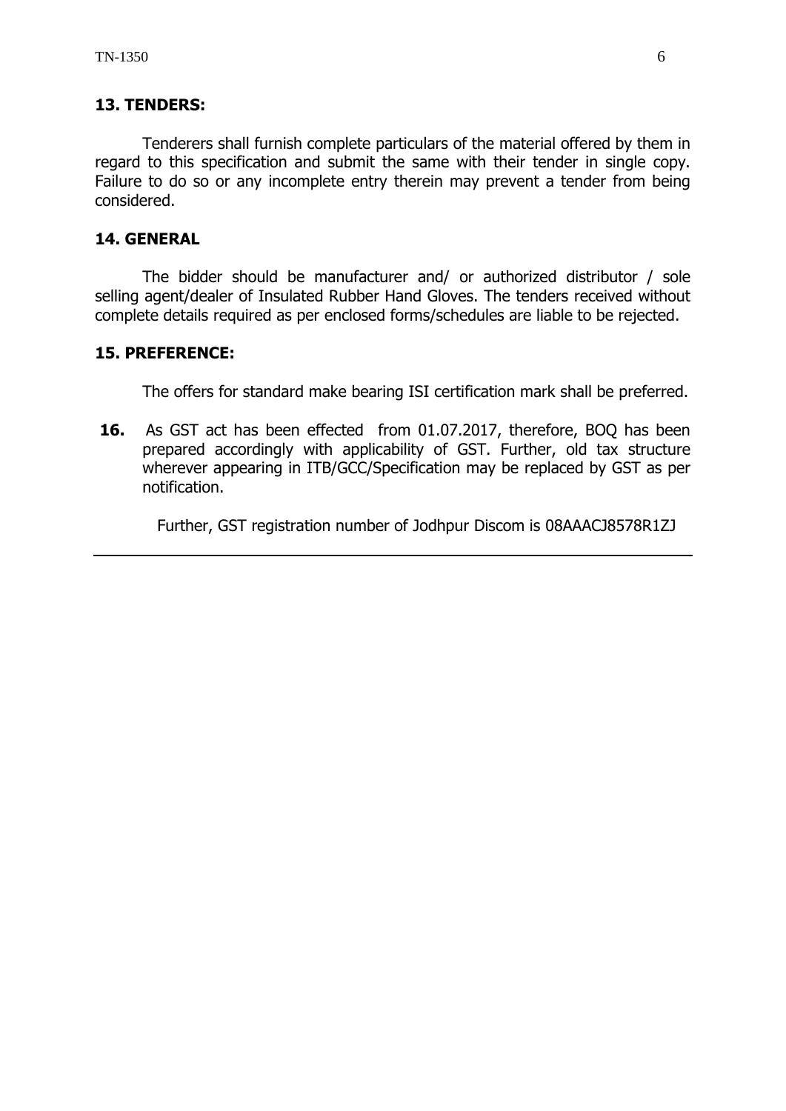#### **13. TENDERS:**

Tenderers shall furnish complete particulars of the material offered by them in regard to this specification and submit the same with their tender in single copy. Failure to do so or any incomplete entry therein may prevent a tender from being considered.

## **14. GENERAL**

The bidder should be manufacturer and/ or authorized distributor / sole selling agent/dealer of Insulated Rubber Hand Gloves. The tenders received without complete details required as per enclosed forms/schedules are liable to be rejected.

#### **15. PREFERENCE:**

The offers for standard make bearing ISI certification mark shall be preferred.

**16.** As GST act has been effected from 01.07.2017, therefore, BOQ has been prepared accordingly with applicability of GST. Further, old tax structure wherever appearing in ITB/GCC/Specification may be replaced by GST as per notification.

Further, GST registration number of Jodhpur Discom is 08AAACJ8578R1ZJ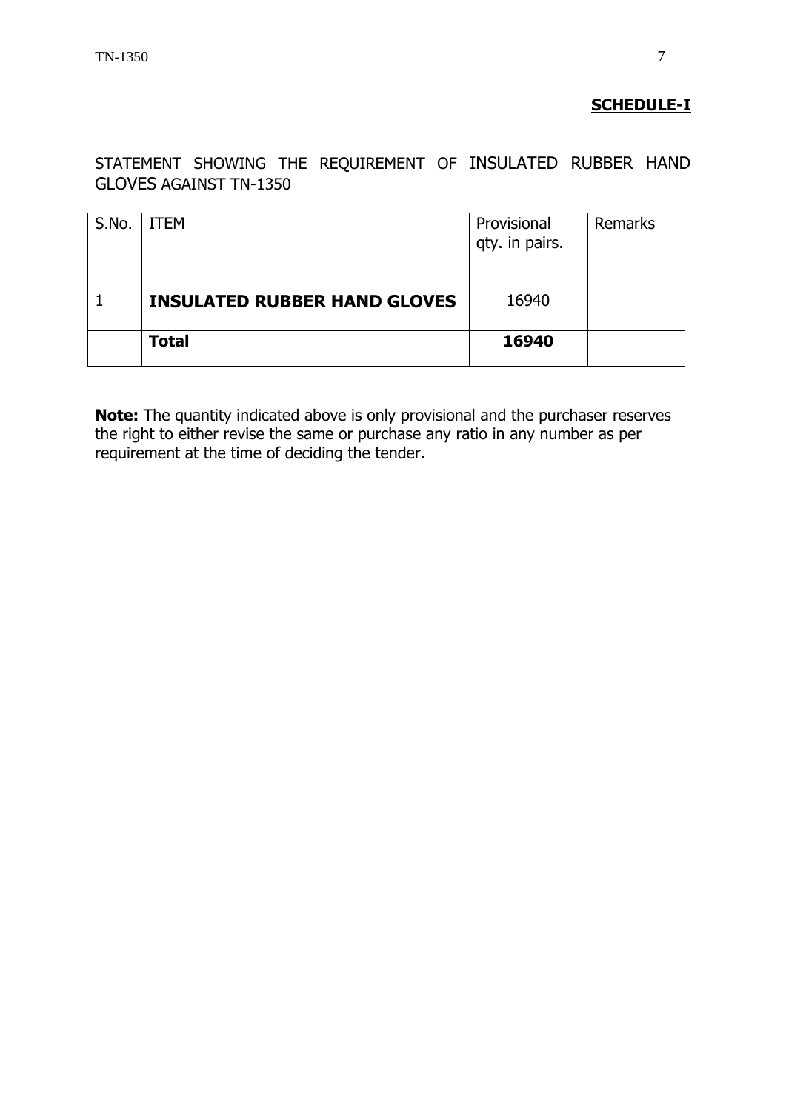# **SCHEDULE-I**

STATEMENT SHOWING THE REQUIREMENT OF INSULATED RUBBER HAND GLOVES AGAINST TN-1350

| S.No. | ITEM                                | Provisional<br>qty. in pairs. | Remarks |
|-------|-------------------------------------|-------------------------------|---------|
|       | <b>INSULATED RUBBER HAND GLOVES</b> | 16940                         |         |
|       | <b>Total</b>                        | 16940                         |         |

**Note:** The quantity indicated above is only provisional and the purchaser reserves the right to either revise the same or purchase any ratio in any number as per requirement at the time of deciding the tender.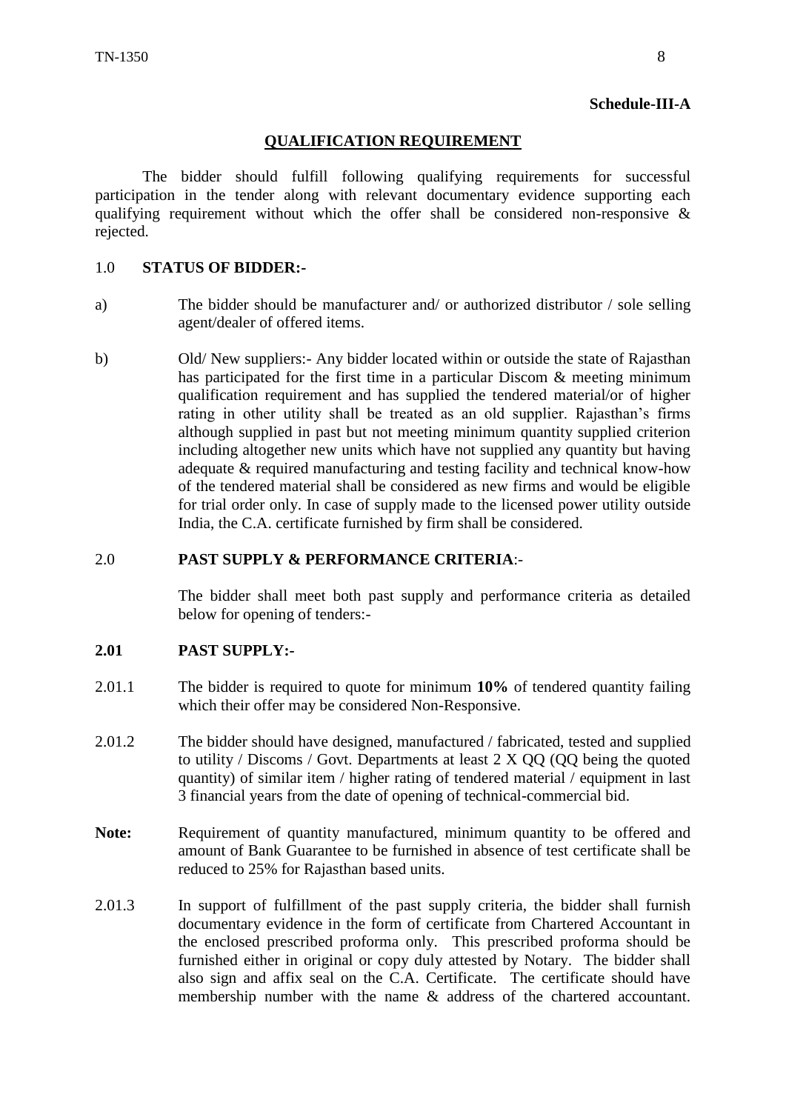#### **Schedule-III-A**

#### **QUALIFICATION REQUIREMENT**

The bidder should fulfill following qualifying requirements for successful participation in the tender along with relevant documentary evidence supporting each qualifying requirement without which the offer shall be considered non-responsive  $\&$ rejected.

#### 1.0 **STATUS OF BIDDER:-**

- a) The bidder should be manufacturer and/ or authorized distributor / sole selling agent/dealer of offered items.
- b) Old/ New suppliers:- Any bidder located within or outside the state of Rajasthan has participated for the first time in a particular Discom & meeting minimum qualification requirement and has supplied the tendered material/or of higher rating in other utility shall be treated as an old supplier. Rajasthan's firms although supplied in past but not meeting minimum quantity supplied criterion including altogether new units which have not supplied any quantity but having adequate & required manufacturing and testing facility and technical know-how of the tendered material shall be considered as new firms and would be eligible for trial order only. In case of supply made to the licensed power utility outside India, the C.A. certificate furnished by firm shall be considered.

#### 2.0 **PAST SUPPLY & PERFORMANCE CRITERIA**:-

The bidder shall meet both past supply and performance criteria as detailed below for opening of tenders:-

#### **2.01 PAST SUPPLY:-**

- 2.01.1 The bidder is required to quote for minimum **10%** of tendered quantity failing which their offer may be considered Non-Responsive.
- 2.01.2 The bidder should have designed, manufactured / fabricated, tested and supplied to utility / Discoms / Govt. Departments at least 2 X QQ (QQ being the quoted quantity) of similar item / higher rating of tendered material / equipment in last 3 financial years from the date of opening of technical-commercial bid.
- **Note:** Requirement of quantity manufactured, minimum quantity to be offered and amount of Bank Guarantee to be furnished in absence of test certificate shall be reduced to 25% for Rajasthan based units.
- 2.01.3 In support of fulfillment of the past supply criteria, the bidder shall furnish documentary evidence in the form of certificate from Chartered Accountant in the enclosed prescribed proforma only. This prescribed proforma should be furnished either in original or copy duly attested by Notary. The bidder shall also sign and affix seal on the C.A. Certificate. The certificate should have membership number with the name & address of the chartered accountant.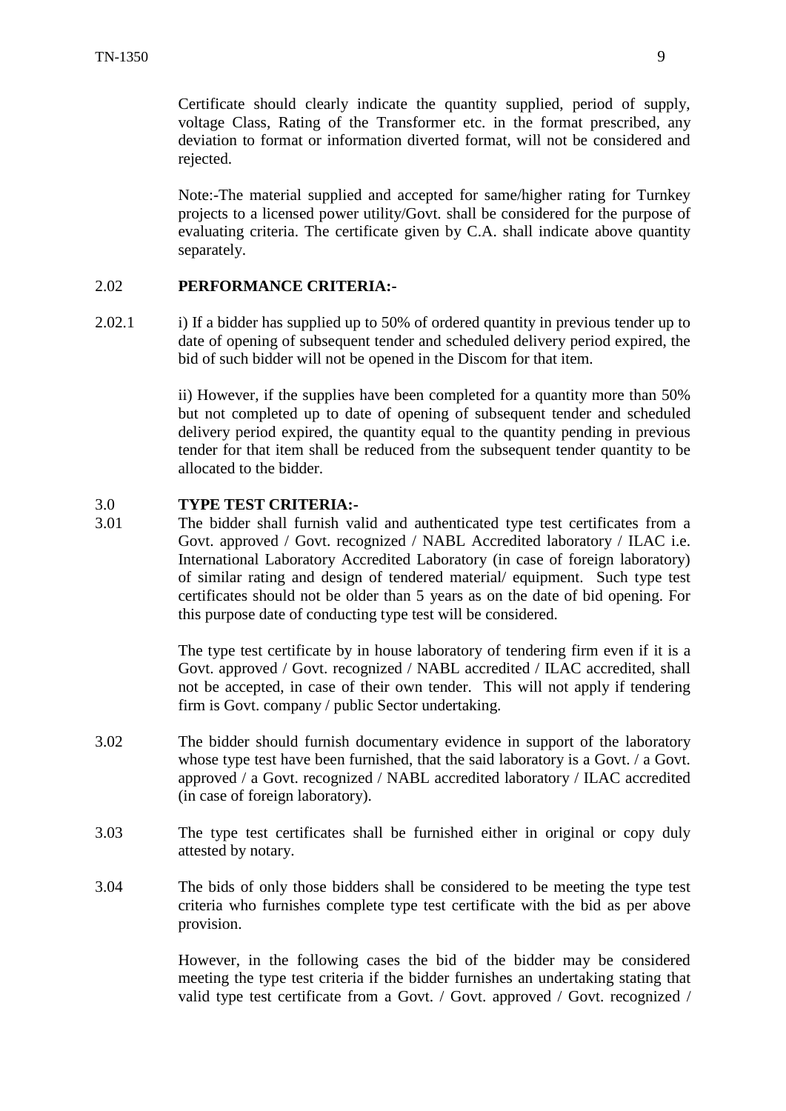Certificate should clearly indicate the quantity supplied, period of supply, voltage Class, Rating of the Transformer etc. in the format prescribed, any deviation to format or information diverted format, will not be considered and rejected.

Note:-The material supplied and accepted for same/higher rating for Turnkey projects to a licensed power utility/Govt. shall be considered for the purpose of evaluating criteria. The certificate given by C.A. shall indicate above quantity separately.

#### 2.02 **PERFORMANCE CRITERIA:-**

2.02.1 i) If a bidder has supplied up to 50% of ordered quantity in previous tender up to date of opening of subsequent tender and scheduled delivery period expired, the bid of such bidder will not be opened in the Discom for that item.

> ii) However, if the supplies have been completed for a quantity more than 50% but not completed up to date of opening of subsequent tender and scheduled delivery period expired, the quantity equal to the quantity pending in previous tender for that item shall be reduced from the subsequent tender quantity to be allocated to the bidder.

#### 3.0 **TYPE TEST CRITERIA:-**

3.01 The bidder shall furnish valid and authenticated type test certificates from a Govt. approved / Govt. recognized / NABL Accredited laboratory / ILAC i.e. International Laboratory Accredited Laboratory (in case of foreign laboratory) of similar rating and design of tendered material/ equipment. Such type test certificates should not be older than 5 years as on the date of bid opening. For this purpose date of conducting type test will be considered.

> The type test certificate by in house laboratory of tendering firm even if it is a Govt. approved / Govt. recognized / NABL accredited / ILAC accredited, shall not be accepted, in case of their own tender. This will not apply if tendering firm is Govt. company / public Sector undertaking.

- 3.02 The bidder should furnish documentary evidence in support of the laboratory whose type test have been furnished, that the said laboratory is a Govt. / a Govt. approved / a Govt. recognized / NABL accredited laboratory / ILAC accredited (in case of foreign laboratory).
- 3.03 The type test certificates shall be furnished either in original or copy duly attested by notary.
- 3.04 The bids of only those bidders shall be considered to be meeting the type test criteria who furnishes complete type test certificate with the bid as per above provision.

However, in the following cases the bid of the bidder may be considered meeting the type test criteria if the bidder furnishes an undertaking stating that valid type test certificate from a Govt. / Govt. approved / Govt. recognized /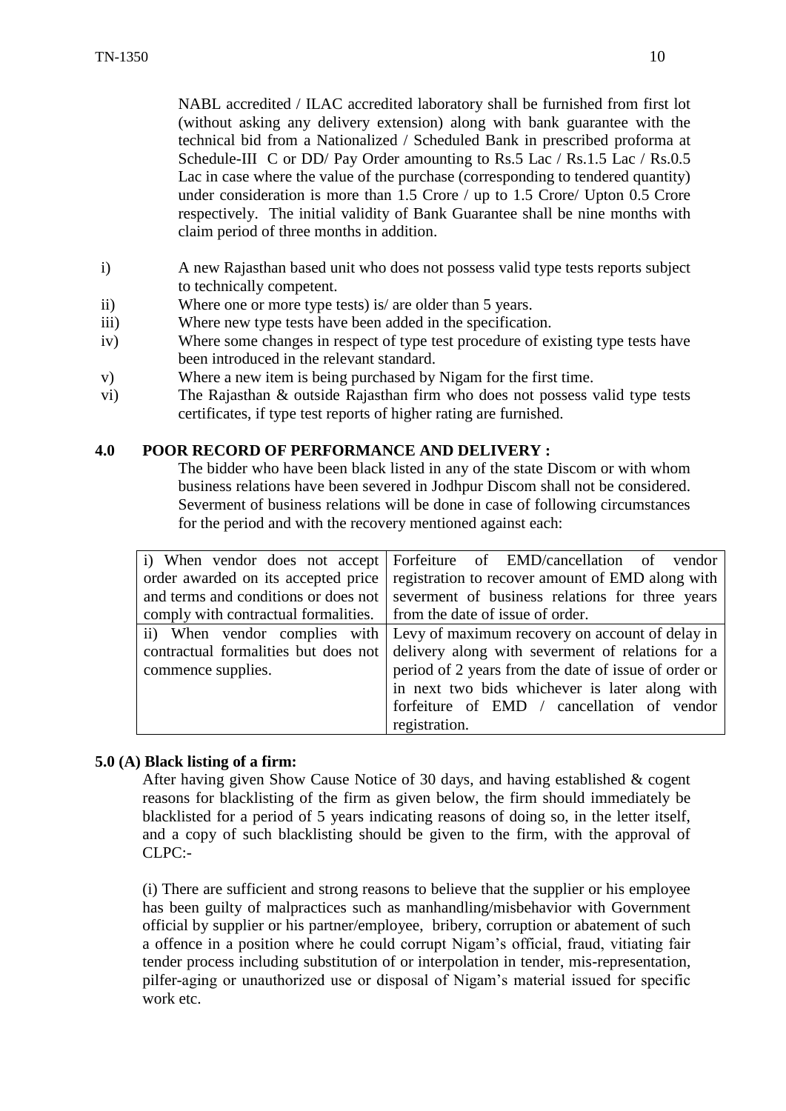NABL accredited / ILAC accredited laboratory shall be furnished from first lot (without asking any delivery extension) along with bank guarantee with the technical bid from a Nationalized / Scheduled Bank in prescribed proforma at Schedule-III C or DD/ Pay Order amounting to Rs.5 Lac / Rs.1.5 Lac / Rs.0.5 Lac in case where the value of the purchase (corresponding to tendered quantity) under consideration is more than 1.5 Crore / up to 1.5 Crore/ Upton 0.5 Crore respectively. The initial validity of Bank Guarantee shall be nine months with claim period of three months in addition.

- i) A new Rajasthan based unit who does not possess valid type tests reports subject to technically competent.
- ii) Where one or more type tests) is/ are older than 5 years.
- iii) Where new type tests have been added in the specification.
- iv) Where some changes in respect of type test procedure of existing type tests have been introduced in the relevant standard.
- v) Where a new item is being purchased by Nigam for the first time.
- vi) The Rajasthan & outside Rajasthan firm who does not possess valid type tests certificates, if type test reports of higher rating are furnished.

#### **4.0 POOR RECORD OF PERFORMANCE AND DELIVERY :**

The bidder who have been black listed in any of the state Discom or with whom business relations have been severed in Jodhpur Discom shall not be considered. Severment of business relations will be done in case of following circumstances for the period and with the recovery mentioned against each:

| i) When vendor does not accept                                          | Forfeiture of EMD/cancellation of vendor                                             |
|-------------------------------------------------------------------------|--------------------------------------------------------------------------------------|
| order awarded on its accepted price                                     | registration to recover amount of EMD along with                                     |
|                                                                         | and terms and conditions or does not severnent of business relations for three years |
| comply with contractual formalities.   from the date of issue of order. |                                                                                      |
|                                                                         | ii) When vendor complies with Levy of maximum recovery on account of delay in        |
| contractual formalities but does not                                    | delivery along with severment of relations for a                                     |
| commence supplies.                                                      | period of 2 years from the date of issue of order or                                 |
|                                                                         | in next two bids whichever is later along with                                       |
|                                                                         | forfeiture of EMD / cancellation of vendor                                           |
|                                                                         | registration.                                                                        |

#### **5.0 (A) Black listing of a firm:**

After having given Show Cause Notice of 30 days, and having established & cogent reasons for blacklisting of the firm as given below, the firm should immediately be blacklisted for a period of 5 years indicating reasons of doing so, in the letter itself, and a copy of such blacklisting should be given to the firm, with the approval of CLPC:-

(i) There are sufficient and strong reasons to believe that the supplier or his employee has been guilty of malpractices such as manhandling/misbehavior with Government official by supplier or his partner/employee, bribery, corruption or abatement of such a offence in a position where he could corrupt Nigam's official, fraud, vitiating fair tender process including substitution of or interpolation in tender, mis-representation, pilfer-aging or unauthorized use or disposal of Nigam's material issued for specific work etc.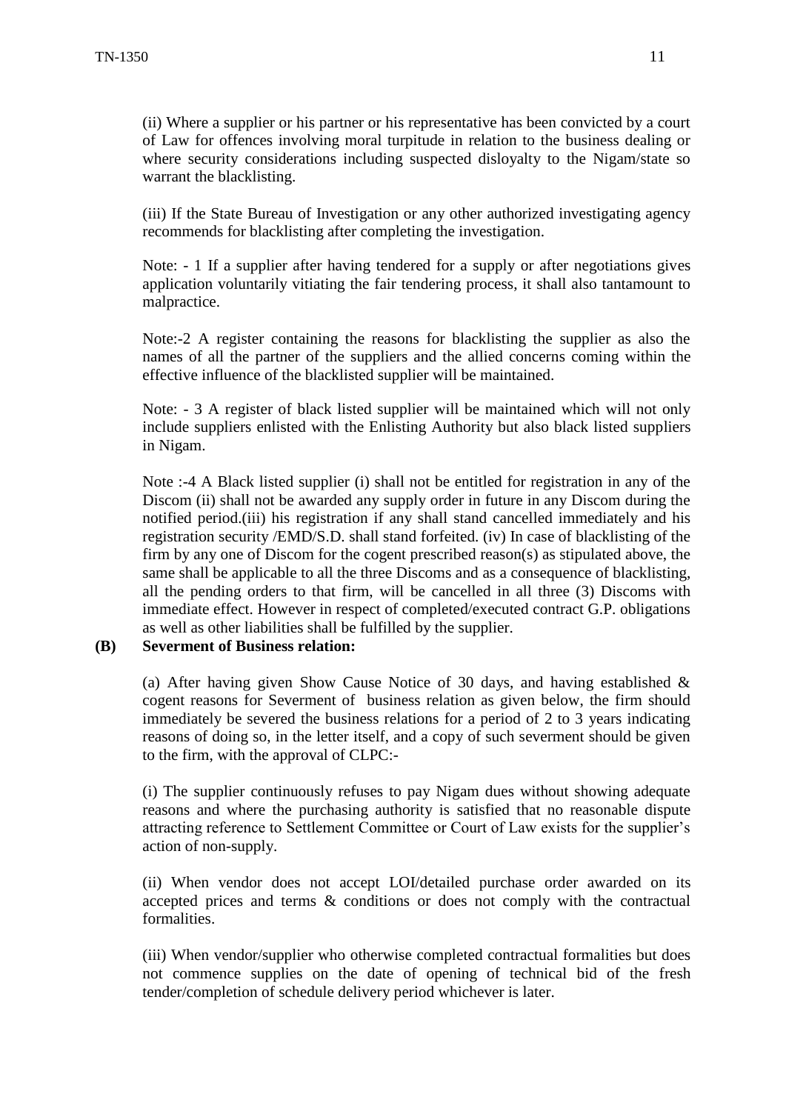(ii) Where a supplier or his partner or his representative has been convicted by a court of Law for offences involving moral turpitude in relation to the business dealing or where security considerations including suspected disloyalty to the Nigam/state so warrant the blacklisting.

(iii) If the State Bureau of Investigation or any other authorized investigating agency recommends for blacklisting after completing the investigation.

Note: - 1 If a supplier after having tendered for a supply or after negotiations gives application voluntarily vitiating the fair tendering process, it shall also tantamount to malpractice.

Note:-2 A register containing the reasons for blacklisting the supplier as also the names of all the partner of the suppliers and the allied concerns coming within the effective influence of the blacklisted supplier will be maintained.

Note: - 3 A register of black listed supplier will be maintained which will not only include suppliers enlisted with the Enlisting Authority but also black listed suppliers in Nigam.

Note :-4 A Black listed supplier (i) shall not be entitled for registration in any of the Discom (ii) shall not be awarded any supply order in future in any Discom during the notified period.(iii) his registration if any shall stand cancelled immediately and his registration security /EMD/S.D. shall stand forfeited. (iv) In case of blacklisting of the firm by any one of Discom for the cogent prescribed reason(s) as stipulated above, the same shall be applicable to all the three Discoms and as a consequence of blacklisting, all the pending orders to that firm, will be cancelled in all three (3) Discoms with immediate effect. However in respect of completed/executed contract G.P. obligations as well as other liabilities shall be fulfilled by the supplier.

**(B) Severment of Business relation:**

(a) After having given Show Cause Notice of 30 days, and having established  $\&$ cogent reasons for Severment of business relation as given below, the firm should immediately be severed the business relations for a period of 2 to 3 years indicating reasons of doing so, in the letter itself, and a copy of such severment should be given to the firm, with the approval of CLPC:-

(i) The supplier continuously refuses to pay Nigam dues without showing adequate reasons and where the purchasing authority is satisfied that no reasonable dispute attracting reference to Settlement Committee or Court of Law exists for the supplier's action of non-supply.

(ii) When vendor does not accept LOI/detailed purchase order awarded on its accepted prices and terms & conditions or does not comply with the contractual formalities.

(iii) When vendor/supplier who otherwise completed contractual formalities but does not commence supplies on the date of opening of technical bid of the fresh tender/completion of schedule delivery period whichever is later.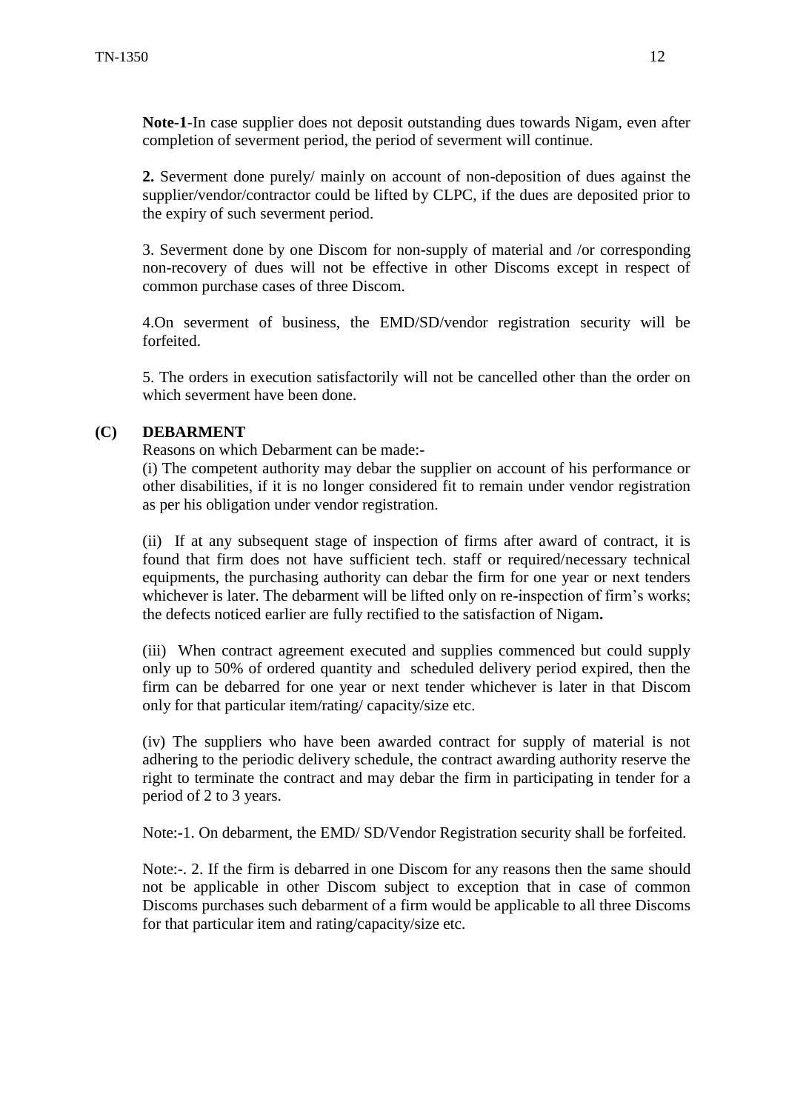**Note-1**-In case supplier does not deposit outstanding dues towards Nigam, even after completion of severment period, the period of severment will continue.

**2.** Severment done purely/ mainly on account of non-deposition of dues against the supplier/vendor/contractor could be lifted by CLPC, if the dues are deposited prior to the expiry of such severment period.

3. Severment done by one Discom for non-supply of material and /or corresponding non-recovery of dues will not be effective in other Discoms except in respect of common purchase cases of three Discom.

4.On severment of business, the EMD/SD/vendor registration security will be forfeited.

5. The orders in execution satisfactorily will not be cancelled other than the order on which severment have been done.

#### **(C) DEBARMENT**

Reasons on which Debarment can be made:-

(i) The competent authority may debar the supplier on account of his performance or other disabilities, if it is no longer considered fit to remain under vendor registration as per his obligation under vendor registration.

(ii) If at any subsequent stage of inspection of firms after award of contract, it is found that firm does not have sufficient tech. staff or required/necessary technical equipments, the purchasing authority can debar the firm for one year or next tenders whichever is later. The debarment will be lifted only on re-inspection of firm's works; the defects noticed earlier are fully rectified to the satisfaction of Nigam**.** 

(iii) When contract agreement executed and supplies commenced but could supply only up to 50% of ordered quantity and scheduled delivery period expired, then the firm can be debarred for one year or next tender whichever is later in that Discom only for that particular item/rating/ capacity/size etc.

(iv) The suppliers who have been awarded contract for supply of material is not adhering to the periodic delivery schedule, the contract awarding authority reserve the right to terminate the contract and may debar the firm in participating in tender for a period of 2 to 3 years.

Note:-1. On debarment, the EMD/ SD/Vendor Registration security shall be forfeited.

Note:-. 2. If the firm is debarred in one Discom for any reasons then the same should not be applicable in other Discom subject to exception that in case of common Discoms purchases such debarment of a firm would be applicable to all three Discoms for that particular item and rating/capacity/size etc.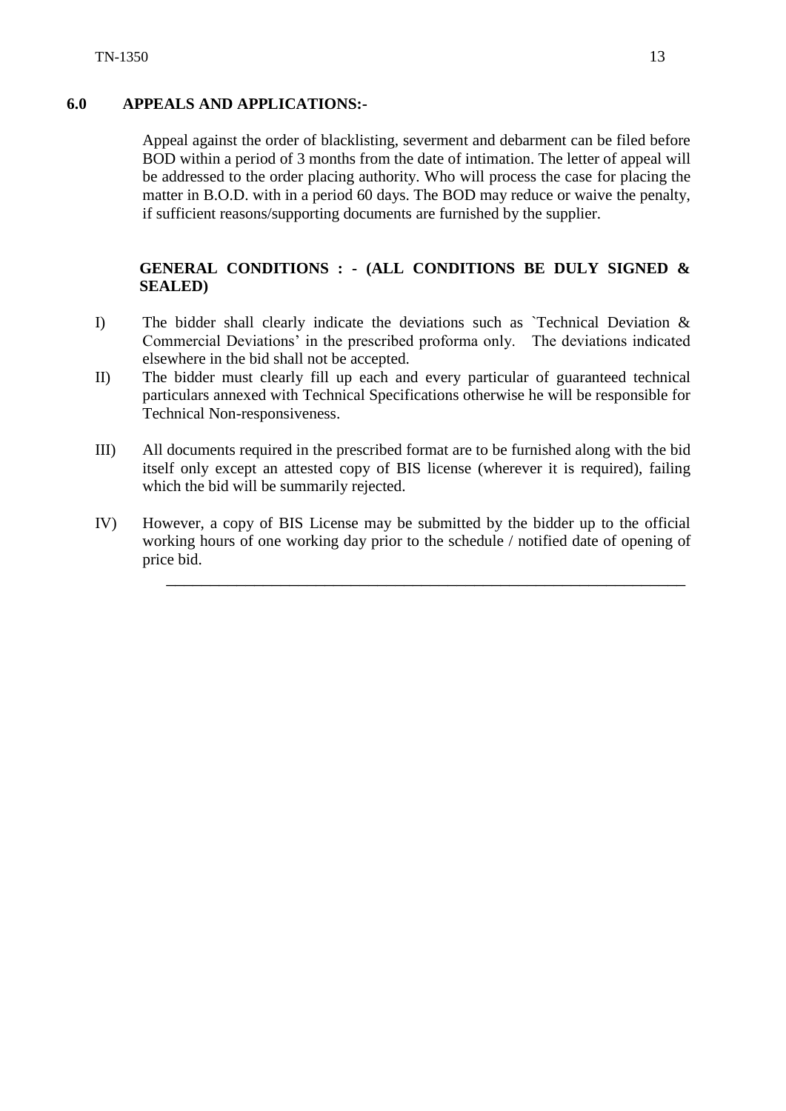#### **6.0 APPEALS AND APPLICATIONS:-**

Appeal against the order of blacklisting, severment and debarment can be filed before BOD within a period of 3 months from the date of intimation. The letter of appeal will be addressed to the order placing authority. Who will process the case for placing the matter in B.O.D. with in a period 60 days. The BOD may reduce or waive the penalty, if sufficient reasons/supporting documents are furnished by the supplier.

# **GENERAL CONDITIONS : - (ALL CONDITIONS BE DULY SIGNED & SEALED)**

- I) The bidder shall clearly indicate the deviations such as `Technical Deviation & Commercial Deviations' in the prescribed proforma only. The deviations indicated elsewhere in the bid shall not be accepted.
- II) The bidder must clearly fill up each and every particular of guaranteed technical particulars annexed with Technical Specifications otherwise he will be responsible for Technical Non-responsiveness.
- III) All documents required in the prescribed format are to be furnished along with the bid itself only except an attested copy of BIS license (wherever it is required), failing which the bid will be summarily rejected.
- IV) However, a copy of BIS License may be submitted by the bidder up to the official working hours of one working day prior to the schedule / notified date of opening of price bid.

\_\_\_\_\_\_\_\_\_\_\_\_\_\_\_\_\_\_\_\_\_\_\_\_\_\_\_\_\_\_\_\_\_\_\_\_\_\_\_\_\_\_\_\_\_\_\_\_\_\_\_\_\_\_\_\_\_\_\_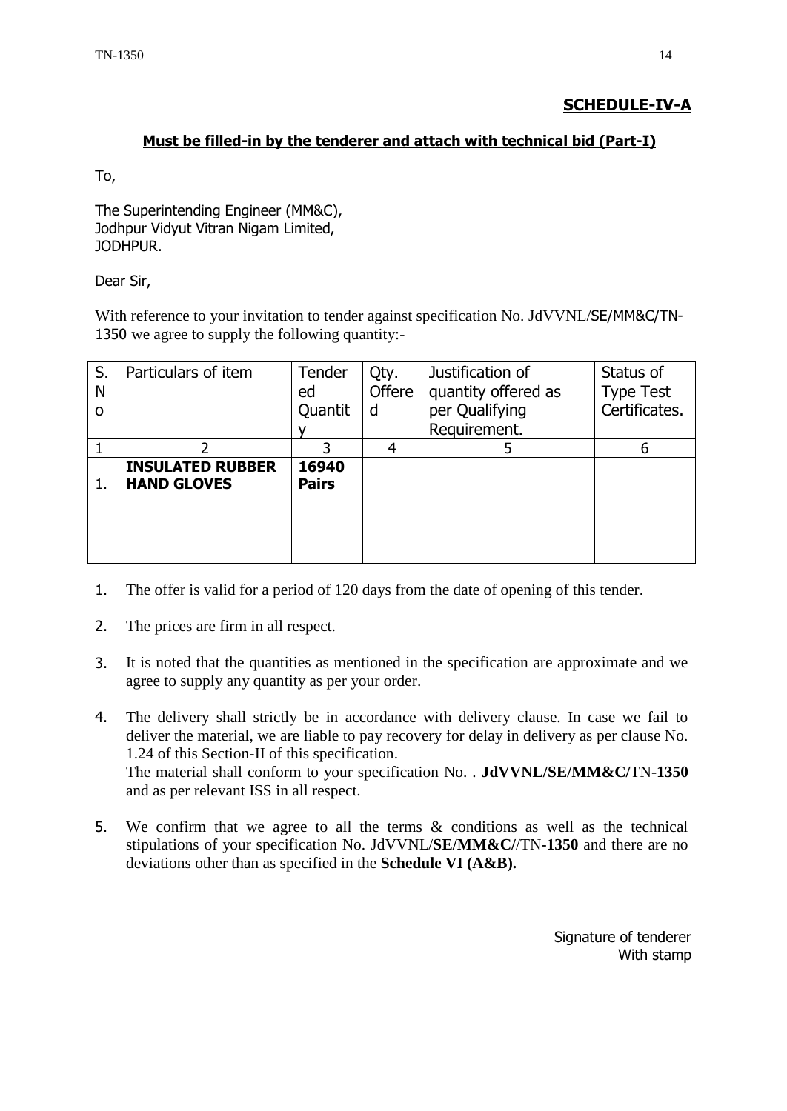## **SCHEDULE-IV-A**

#### **Must be filled-in by the tenderer and attach with technical bid (Part-I)**

To,

The Superintending Engineer (MM&C), Jodhpur Vidyut Vitran Nigam Limited, JODHPUR.

Dear Sir,

With reference to your invitation to tender against specification No. JdVVNL/SE/MM&C/TN-1350 we agree to supply the following quantity:-

| S.<br>N  | Particulars of item                           | Tender<br>ed          | Qty.<br>Offere | Justification of<br>quantity offered as | Status of<br><b>Type Test</b> |
|----------|-----------------------------------------------|-----------------------|----------------|-----------------------------------------|-------------------------------|
| $\Omega$ |                                               | Quantit               | d              | per Qualifying                          | Certificates.                 |
|          |                                               |                       |                | Requirement.                            |                               |
|          | ำ                                             |                       | 4              |                                         | 6                             |
| 1.       | <b>INSULATED RUBBER</b><br><b>HAND GLOVES</b> | 16940<br><b>Pairs</b> |                |                                         |                               |

- 1. The offer is valid for a period of 120 days from the date of opening of this tender.
- 2. The prices are firm in all respect.
- 3. It is noted that the quantities as mentioned in the specification are approximate and we agree to supply any quantity as per your order.
- 4. The delivery shall strictly be in accordance with delivery clause. In case we fail to deliver the material, we are liable to pay recovery for delay in delivery as per clause No. 1.24 of this Section-II of this specification. The material shall conform to your specification No. . **JdVVNL/SE/MM&C/**TN-**1350**  and as per relevant ISS in all respect.
- 5. We confirm that we agree to all the terms & conditions as well as the technical stipulations of your specification No. JdVVNL/**SE/MM&C/**/TN**-1350** and there are no deviations other than as specified in the **Schedule VI (A&B).**

Signature of tenderer With stamp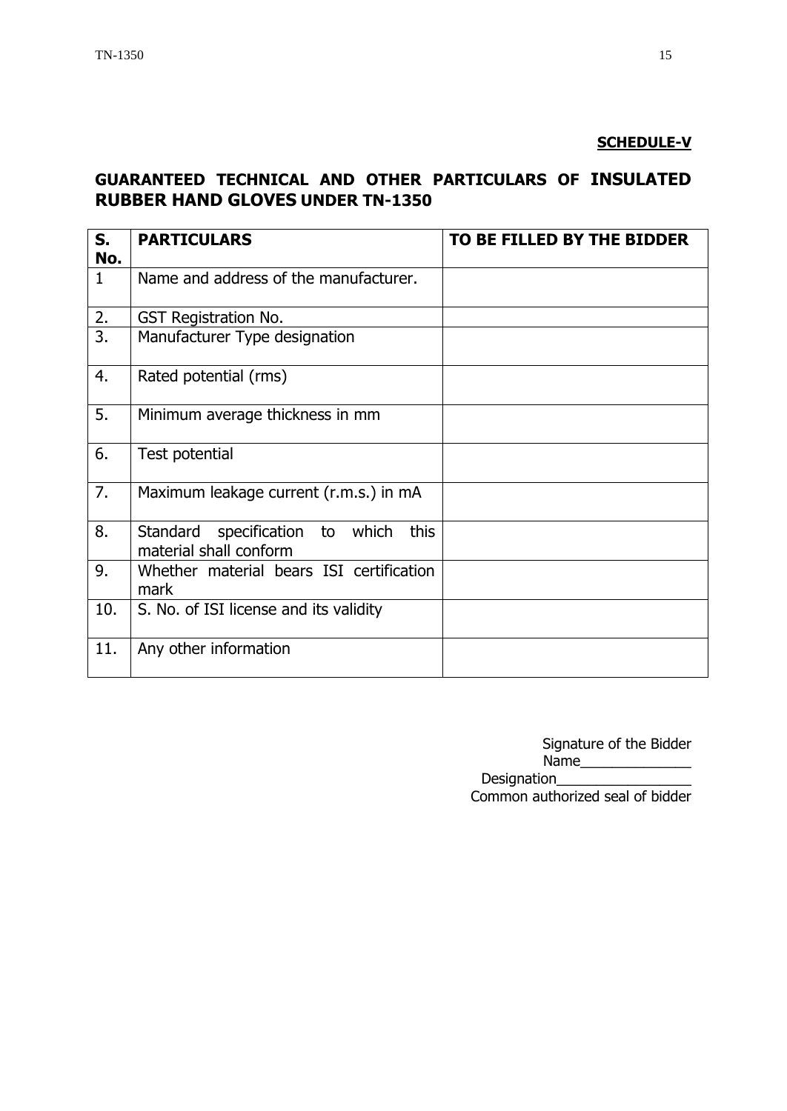## **SCHEDULE-V**

# **GUARANTEED TECHNICAL AND OTHER PARTICULARS OF INSULATED RUBBER HAND GLOVES UNDER TN-1350**

| S.<br>No.       | <b>PARTICULARS</b>                                                   | TO BE FILLED BY THE BIDDER |
|-----------------|----------------------------------------------------------------------|----------------------------|
| $\mathbf{1}$    | Name and address of the manufacturer.                                |                            |
| $\frac{2}{3}$ . | <b>GST Registration No.</b>                                          |                            |
|                 | Manufacturer Type designation                                        |                            |
| 4.              | Rated potential (rms)                                                |                            |
| 5.              | Minimum average thickness in mm                                      |                            |
| 6.              | Test potential                                                       |                            |
| 7.              | Maximum leakage current (r.m.s.) in mA                               |                            |
| 8.              | Standard<br>this<br>specification to which<br>material shall conform |                            |
| 9.              | Whether material bears ISI certification<br>mark                     |                            |
| 10.             | S. No. of ISI license and its validity                               |                            |
| 11.             | Any other information                                                |                            |

Signature of the Bidder Name\_\_\_\_\_\_\_\_\_\_\_\_\_\_

Designation\_\_\_\_\_\_\_\_\_\_\_\_\_\_\_\_\_

Common authorized seal of bidder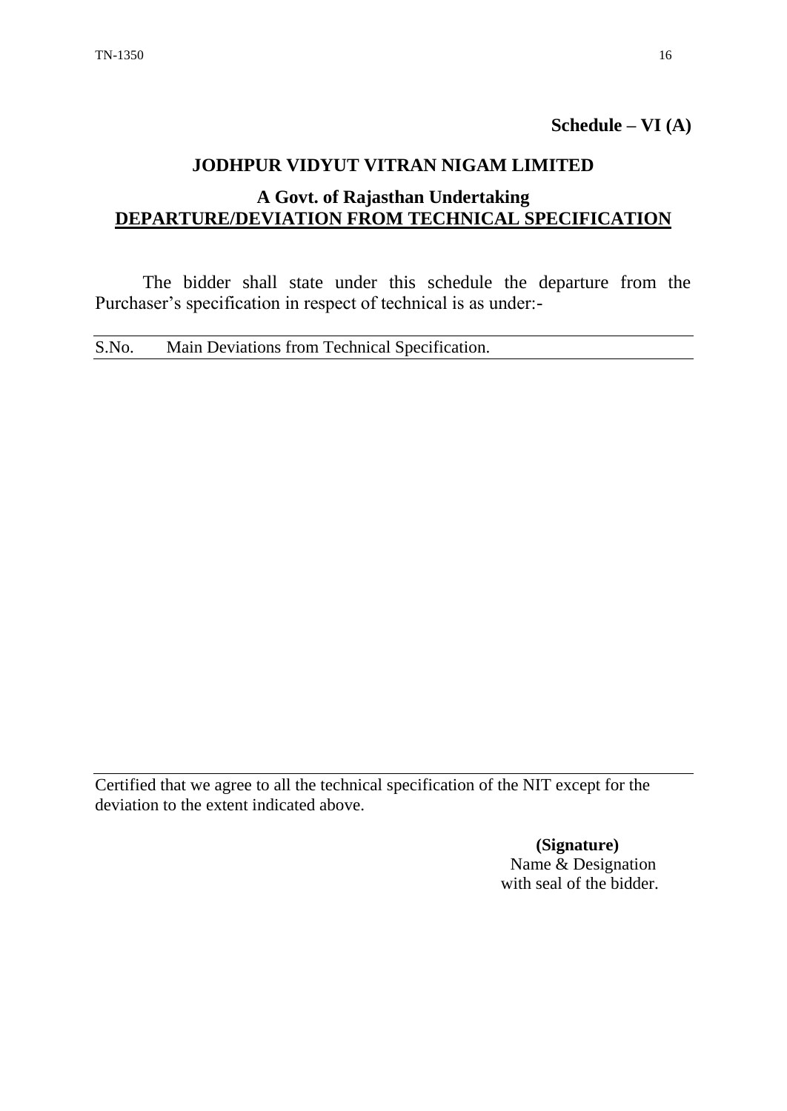**Schedule – VI (A)**

## **JODHPUR VIDYUT VITRAN NIGAM LIMITED**

# **A Govt. of Rajasthan Undertaking DEPARTURE/DEVIATION FROM TECHNICAL SPECIFICATION**

The bidder shall state under this schedule the departure from the Purchaser's specification in respect of technical is as under:-

S.No. Main Deviations from Technical Specification.

Certified that we agree to all the technical specification of the NIT except for the deviation to the extent indicated above.

> **(Signature)** Name & Designation with seal of the bidder.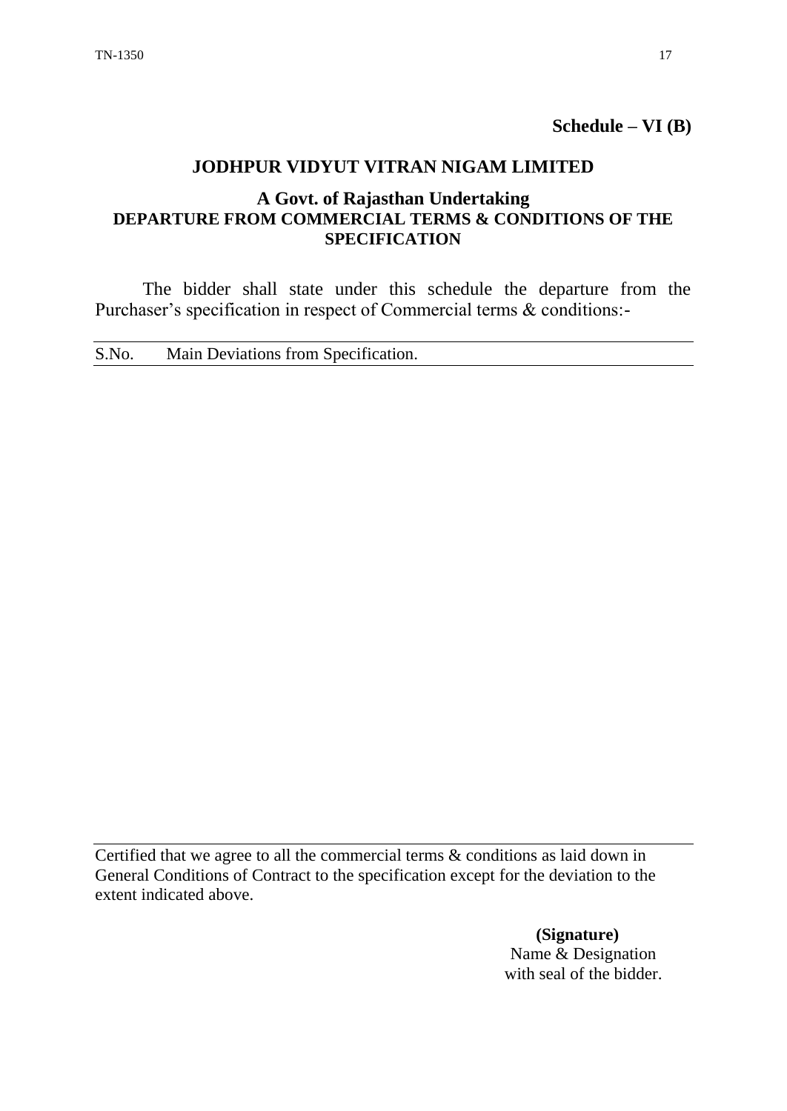**Schedule – VI (B)**

## **JODHPUR VIDYUT VITRAN NIGAM LIMITED**

## **A Govt. of Rajasthan Undertaking DEPARTURE FROM COMMERCIAL TERMS & CONDITIONS OF THE SPECIFICATION**

The bidder shall state under this schedule the departure from the Purchaser's specification in respect of Commercial terms & conditions:-

S.No. Main Deviations from Specification.

Certified that we agree to all the commercial terms & conditions as laid down in General Conditions of Contract to the specification except for the deviation to the extent indicated above.

> **(Signature)** Name & Designation with seal of the bidder.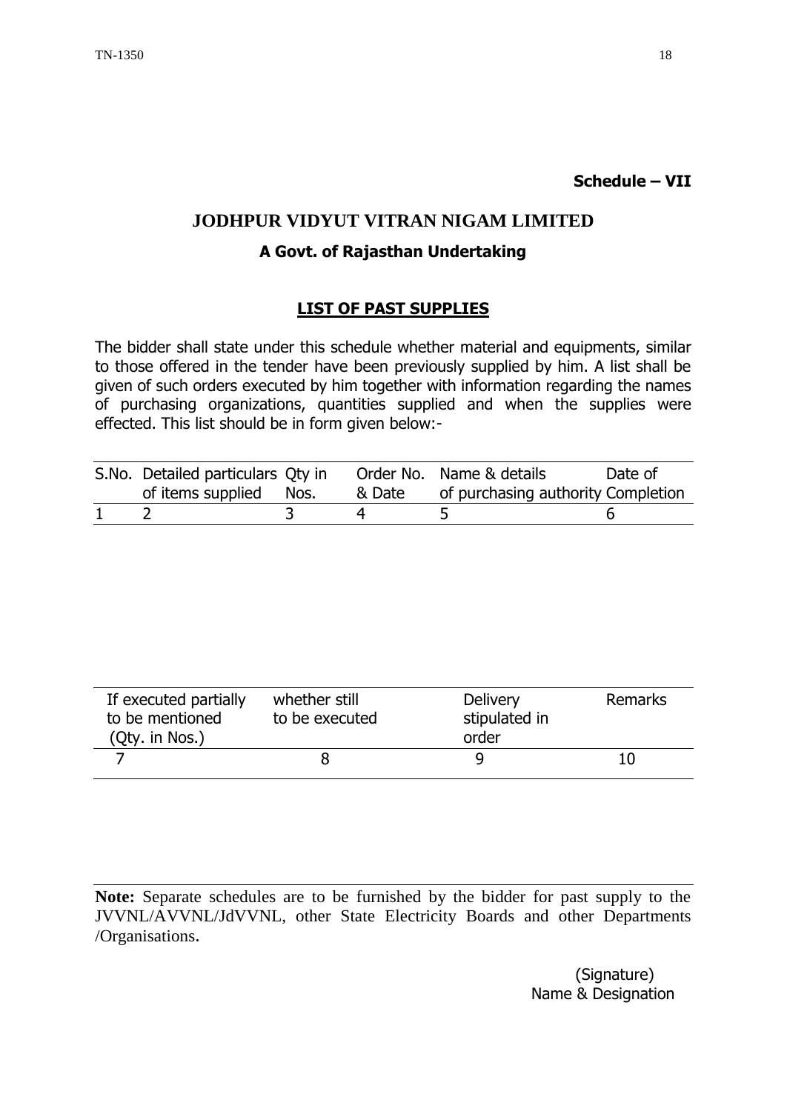#### **Schedule – VII**

## **JODHPUR VIDYUT VITRAN NIGAM LIMITED**

#### **A Govt. of Rajasthan Undertaking**

#### **LIST OF PAST SUPPLIES**

The bidder shall state under this schedule whether material and equipments, similar to those offered in the tender have been previously supplied by him. A list shall be given of such orders executed by him together with information regarding the names of purchasing organizations, quantities supplied and when the supplies were effected. This list should be in form given below:-

| S.No. Detailed particulars Qty in<br>of items supplied Nos. | & Date | Order No. Name & details<br>of purchasing authority Completion | Date of |
|-------------------------------------------------------------|--------|----------------------------------------------------------------|---------|
|                                                             |        |                                                                |         |

| If executed partially<br>whether still<br>to be mentioned<br>to be executed<br>(Qty. in Nos.) |  | <b>Delivery</b><br>stipulated in<br>order | <b>Remarks</b> |
|-----------------------------------------------------------------------------------------------|--|-------------------------------------------|----------------|
|                                                                                               |  |                                           | 10             |

**Note:** Separate schedules are to be furnished by the bidder for past supply to the JVVNL/AVVNL/JdVVNL, other State Electricity Boards and other Departments /Organisations.

> (Signature) Name & Designation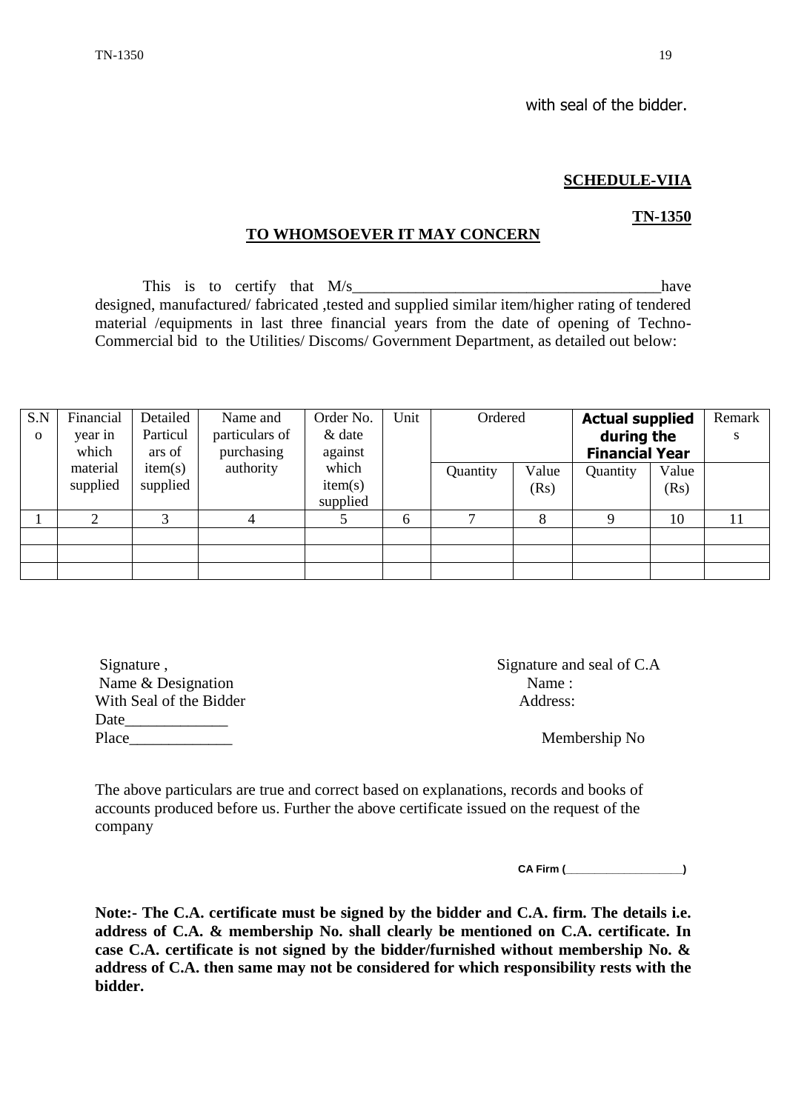#### **SCHEDULE-VIIA**

# **TO WHOMSOEVER IT MAY CONCERN**

This is to certify that  $M/s$  have designed, manufactured/ fabricated ,tested and supplied similar item/higher rating of tendered material /equipments in last three financial years from the date of opening of Techno-Commercial bid to the Utilities/ Discoms/ Government Department, as detailed out below:

| S.N      | Financial | Detailed | Name and       | Order No. | Unit |          | Ordered |            | <b>Actual supplied</b> | Remark |
|----------|-----------|----------|----------------|-----------|------|----------|---------|------------|------------------------|--------|
| $\Omega$ | year in   | Particul | particulars of | & date    |      |          |         | during the |                        | S      |
|          | which     | ars of   | purchasing     | against   |      |          |         |            | <b>Financial Year</b>  |        |
|          | material  | item(s)  | authority      | which     |      | Quantity | Value   | Quantity   | Value                  |        |
|          | supplied  | supplied |                | item(s)   |      |          | (Rs)    |            | (Rs)                   |        |
|          |           |          |                | supplied  |      |          |         |            |                        |        |
|          | 2         | 3        |                |           | 6    | ⇁        | 8       | Q          | 10                     | 11     |
|          |           |          |                |           |      |          |         |            |                        |        |
|          |           |          |                |           |      |          |         |            |                        |        |
|          |           |          |                |           |      |          |         |            |                        |        |

Name & Designation Name : With Seal of the Bidder Address: Date  $\Box$ 

Signature , Signature and seal of C.A

Place\_\_\_\_\_\_\_\_\_\_\_\_\_ Membership No

The above particulars are true and correct based on explanations, records and books of accounts produced before us. Further the above certificate issued on the request of the company

**CA Firm (\_\_\_\_\_\_\_\_\_\_\_\_\_\_\_\_\_\_\_\_)**

**Note:- The C.A. certificate must be signed by the bidder and C.A. firm. The details i.e. address of C.A. & membership No. shall clearly be mentioned on C.A. certificate. In case C.A. certificate is not signed by the bidder/furnished without membership No. & address of C.A. then same may not be considered for which responsibility rests with the bidder.** 

**TN-1350**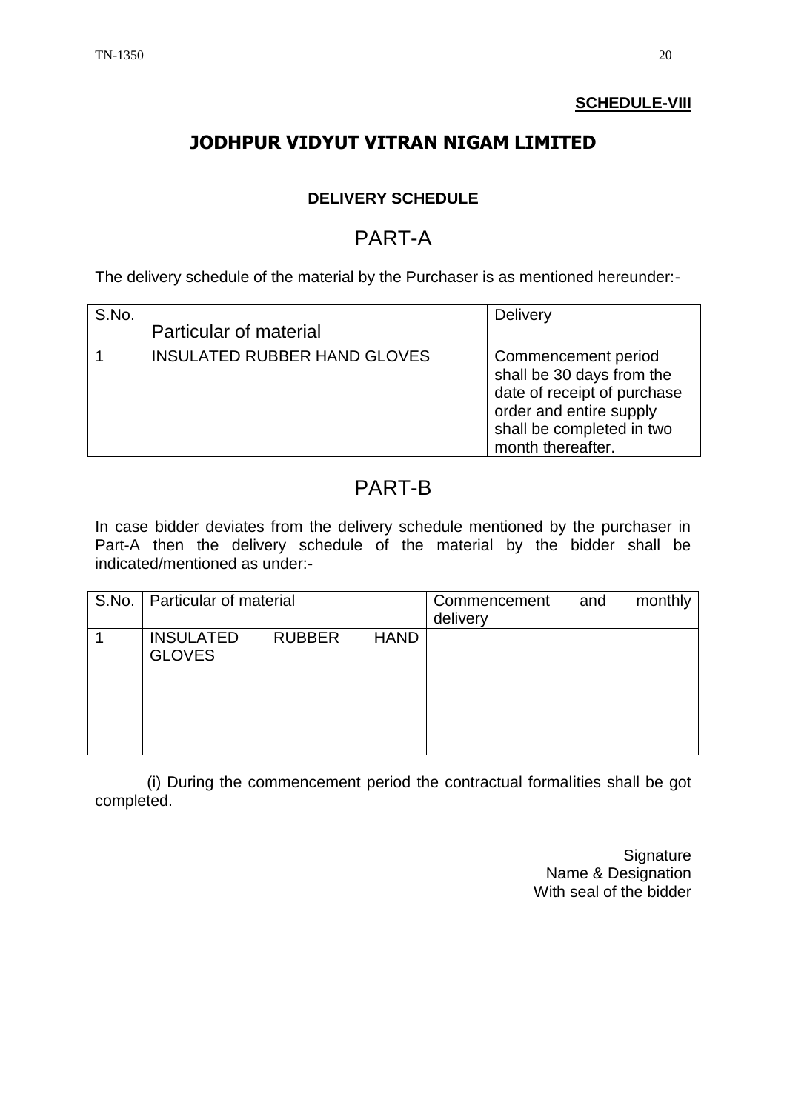# **SCHEDULE-VIII**

# **JODHPUR VIDYUT VITRAN NIGAM LIMITED**

# **DELIVERY SCHEDULE**

# PART-A

The delivery schedule of the material by the Purchaser is as mentioned hereunder:-

| S.No. | Particular of material              | <b>Delivery</b>                                                                                                                                              |
|-------|-------------------------------------|--------------------------------------------------------------------------------------------------------------------------------------------------------------|
|       | <b>INSULATED RUBBER HAND GLOVES</b> | Commencement period<br>shall be 30 days from the<br>date of receipt of purchase<br>order and entire supply<br>shall be completed in two<br>month thereafter. |

# PART-B

In case bidder deviates from the delivery schedule mentioned by the purchaser in Part-A then the delivery schedule of the material by the bidder shall be indicated/mentioned as under:-

| S.No.   Particular of material    |               |             | Commencement<br>delivery | and | monthly |
|-----------------------------------|---------------|-------------|--------------------------|-----|---------|
| <b>INSULATED</b><br><b>GLOVES</b> | <b>RUBBER</b> | <b>HAND</b> |                          |     |         |

(i) During the commencement period the contractual formalities shall be got completed.

> **Signature** Name & Designation With seal of the bidder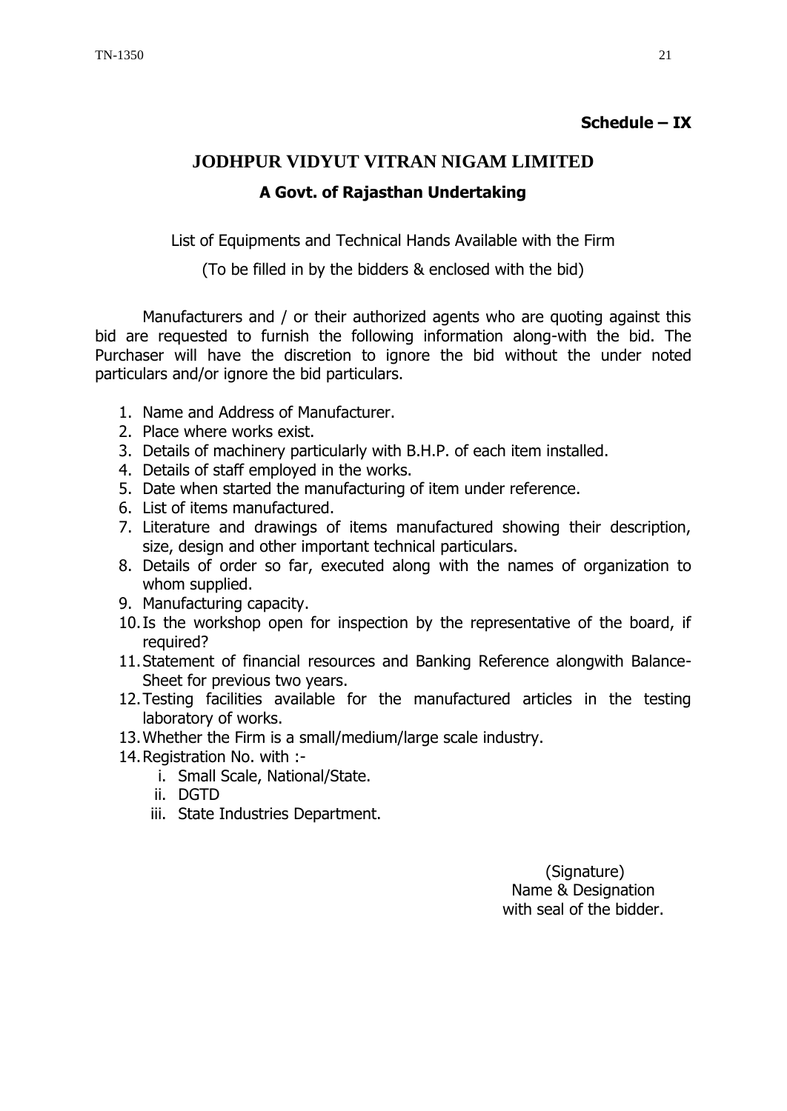### **Schedule – IX**

# **JODHPUR VIDYUT VITRAN NIGAM LIMITED A Govt. of Rajasthan Undertaking**

List of Equipments and Technical Hands Available with the Firm

(To be filled in by the bidders & enclosed with the bid)

Manufacturers and / or their authorized agents who are quoting against this bid are requested to furnish the following information along-with the bid. The Purchaser will have the discretion to ignore the bid without the under noted particulars and/or ignore the bid particulars.

- 1. Name and Address of Manufacturer.
- 2. Place where works exist.
- 3. Details of machinery particularly with B.H.P. of each item installed.
- 4. Details of staff employed in the works.
- 5. Date when started the manufacturing of item under reference.
- 6. List of items manufactured.
- 7. Literature and drawings of items manufactured showing their description, size, design and other important technical particulars.
- 8. Details of order so far, executed along with the names of organization to whom supplied.
- 9. Manufacturing capacity.
- 10.Is the workshop open for inspection by the representative of the board, if required?
- 11.Statement of financial resources and Banking Reference alongwith Balance-Sheet for previous two years.
- 12.Testing facilities available for the manufactured articles in the testing laboratory of works.
- 13.Whether the Firm is a small/medium/large scale industry.
- 14.Registration No. with :
	- i. Small Scale, National/State.
	- ii. DGTD
	- iii. State Industries Department.

 (Signature) Name & Designation with seal of the bidder.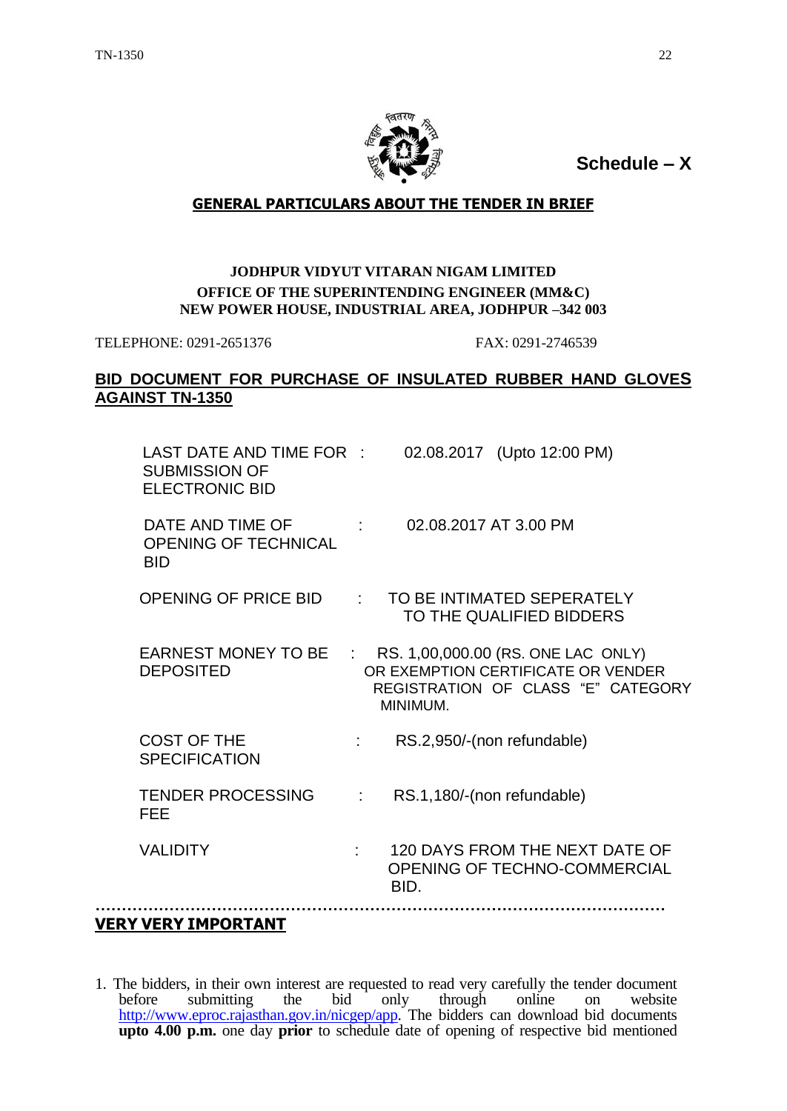

**Schedule – X**

#### **GENERAL PARTICULARS ABOUT THE TENDER IN BRIEF**

#### **JODHPUR VIDYUT VITARAN NIGAM LIMITED OFFICE OF THE SUPERINTENDING ENGINEER (MM&C) NEW POWER HOUSE, INDUSTRIAL AREA, JODHPUR –342 003**

TELEPHONE: 0291-2651376 FAX: 0291-2746539

#### **BID DOCUMENT FOR PURCHASE OF INSULATED RUBBER HAND GLOVES AGAINST TN-1350**

| LAST DATE AND TIME FOR :<br><b>SUBMISSION OF</b><br><b>ELECTRONIC BID</b> |                                          | 02.08.2017 (Upto 12:00 PM)                                                                                                   |  |
|---------------------------------------------------------------------------|------------------------------------------|------------------------------------------------------------------------------------------------------------------------------|--|
| DATE AND TIME OF<br><b>OPENING OF TECHNICAL</b><br><b>BID</b>             | $\mathcal{O}(\mathcal{O}_\mathcal{O})$ . | 02.08.2017 AT 3.00 PM                                                                                                        |  |
| <b>OPENING OF PRICE BID</b>                                               | $\mathcal{F}(\mathcal{A})$               | TO BE INTIMATED SEPERATELY<br>TO THE QUALIFIED BIDDERS                                                                       |  |
| EARNEST MONEY TO BE<br><b>DEPOSITED</b>                                   |                                          | : RS. 1,00,000.00 (RS. ONE LAC ONLY)<br>OR EXEMPTION CERTIFICATE OR VENDER<br>REGISTRATION OF CLASS "E" CATEGORY<br>MINIMUM. |  |
| <b>COST OF THE</b><br><b>SPECIFICATION</b>                                |                                          | RS.2,950/-(non refundable)                                                                                                   |  |
| <b>TENDER PROCESSING</b><br><b>FEE</b>                                    |                                          | RS.1,180/-(non refundable)                                                                                                   |  |
| <b>VALIDITY</b>                                                           |                                          | 120 DAYS FROM THE NEXT DATE OF<br>OPENING OF TECHNO-COMMERCIAL<br>BID.                                                       |  |
|                                                                           |                                          |                                                                                                                              |  |

## **VERY VERY IMPORTANT**

1. The bidders, in their own interest are requested to read very carefully the tender document before submitting the bid only through online on website [http://www.eproc.rajasthan.gov.in/nicgep/app.](http://www.eproc.rajasthan.gov.in/nicgep/app) The bidders can download bid documents **upto 4.00 p.m.** one day **prior** to schedule date of opening of respective bid mentioned